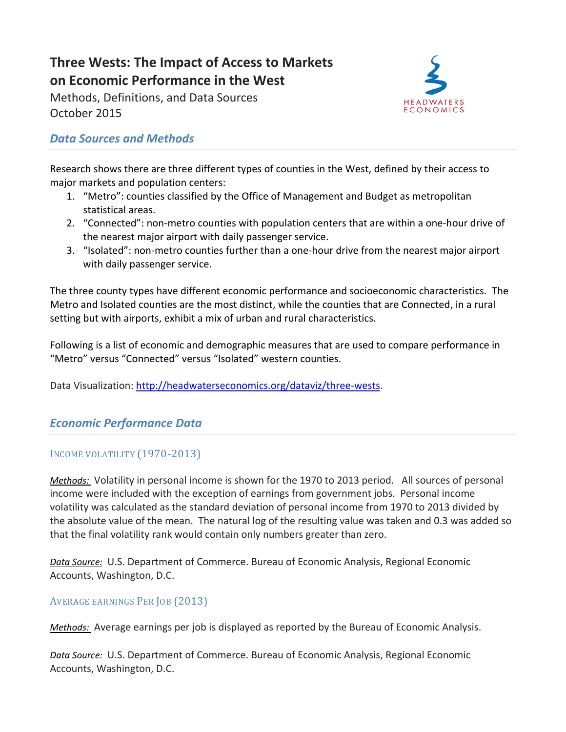# **Three Wests: The Impact of Access to Markets on Economic Performance in the West**

Methods, Definitions, and Data Sources October 2015



# *Data Sources and Methods*

Research shows there are three different types of counties in the West, defined by their access to major markets and population centers:

- 1. "Metro": counties classified by the Office of Management and Budget as metropolitan statistical areas.
- 2. "Connected": non-metro counties with population centers that are within a one-hour drive of the nearest major airport with daily passenger service.
- 3. "Isolated": non-metro counties further than a one-hour drive from the nearest major airport with daily passenger service.

The three county types have different economic performance and socioeconomic characteristics. The Metro and Isolated counties are the most distinct, while the counties that are Connected, in a rural setting but with airports, exhibit a mix of urban and rural characteristics.

Following is a list of economic and demographic measures that are used to compare performance in "Metro" versus "Connected" versus "Isolated" western counties.

Data Visualization: [http://headwaterseconomics.org/dataviz/three-wests.](http://headwaterseconomics.org/dataviz/three-wests)

# *Economic Performance Data*

## INCOME VOLATILITY (1970-2013)

*Methods:* Volatility in personal income is shown for the 1970 to 2013 period. All sources of personal income were included with the exception of earnings from government jobs. Personal income volatility was calculated as the standard deviation of personal income from 1970 to 2013 divided by the absolute value of the mean. The natural log of the resulting value was taken and 0.3 was added so that the final volatility rank would contain only numbers greater than zero.

*Data Source:* U.S. Department of Commerce. Bureau of Economic Analysis, Regional Economic Accounts, Washington, D.C.

## AVERAGE EARNINGS PER JOB (2013)

*Methods:* Average earnings per job is displayed as reported by the Bureau of Economic Analysis.

*Data Source:* U.S. Department of Commerce. Bureau of Economic Analysis, Regional Economic Accounts, Washington, D.C.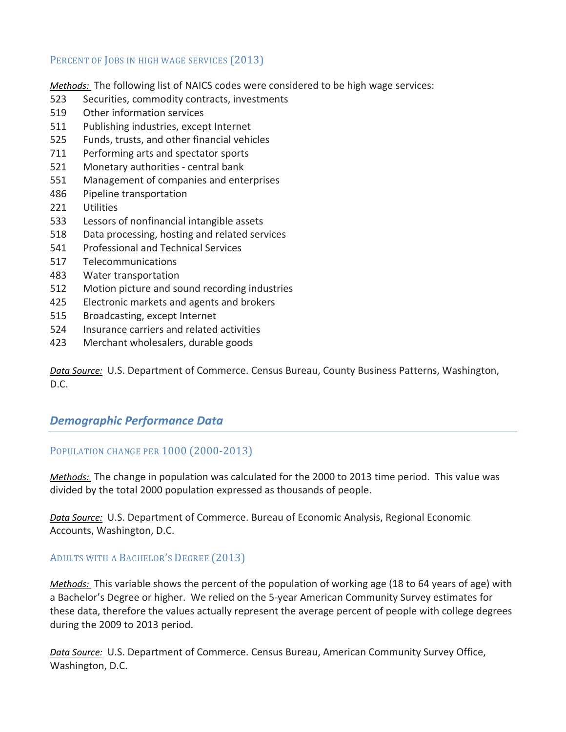#### PERCENT OF JOBS IN HIGH WAGE SERVICES (2013)

*Methods:* The following list of NAICS codes were considered to be high wage services:

- 523 Securities, commodity contracts, investments
- 519 Other information services
- 511 Publishing industries, except Internet
- 525 Funds, trusts, and other financial vehicles
- 711 Performing arts and spectator sports
- 521 Monetary authorities central bank
- 551 Management of companies and enterprises
- 486 Pipeline transportation
- 221 Utilities
- 533 Lessors of nonfinancial intangible assets
- 518 Data processing, hosting and related services
- 541 Professional and Technical Services
- 517 Telecommunications
- 483 Water transportation
- 512 Motion picture and sound recording industries
- 425 Electronic markets and agents and brokers
- 515 Broadcasting, except Internet
- 524 Insurance carriers and related activities
- 423 Merchant wholesalers, durable goods

*Data Source:* U.S. Department of Commerce. Census Bureau, County Business Patterns, Washington, D.C.

## *Demographic Performance Data*

## POPULATION CHANGE PER 1000 (2000-2013)

*Methods:* The change in population was calculated for the 2000 to 2013 time period. This value was divided by the total 2000 population expressed as thousands of people.

*Data Source:* U.S. Department of Commerce. Bureau of Economic Analysis, Regional Economic Accounts, Washington, D.C.

## ADULTS WITH A BACHELOR'S DEGREE (2013)

*Methods:* This variable shows the percent of the population of working age (18 to 64 years of age) with a Bachelor's Degree or higher. We relied on the 5-year American Community Survey estimates for these data, therefore the values actually represent the average percent of people with college degrees during the 2009 to 2013 period.

*Data Source:* U.S. Department of Commerce. Census Bureau, American Community Survey Office, Washington, D.C.